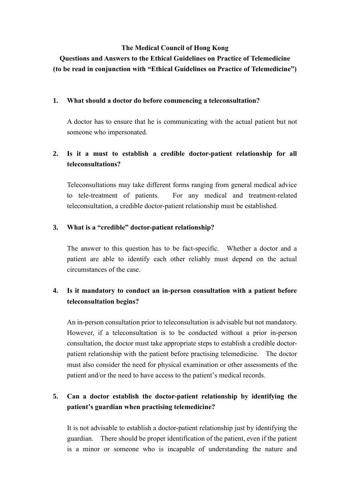### **The Medical Council of Hong Kong**

**Questions and Answers to the Ethical Guidelines on Practice of Telemedicine (to be read in conjunction with "Ethical Guidelines on Practice of Telemedicine")**

### **1. What should a doctor do before commencing a teleconsultation?**

A doctor has to ensure that he is communicating with the actual patient but not someone who impersonated.

## **2. Is it a must to establish a credible doctor-patient relationship for all teleconsultations?**

Teleconsultations may take different forms ranging from general medical advice to tele-treatment of patients. For any medical and treatment-related teleconsultation, a credible doctor-patient relationship must be established.

### **3. What is a "credible" doctor-patient relationship?**

The answer to this question has to be fact-specific. Whether a doctor and a patient are able to identify each other reliably must depend on the actual circumstances of the case.

### **4. Is it mandatory to conduct an in-person consultation with a patient before teleconsultation begins?**

An in-person consultation prior to teleconsultation is advisable but not mandatory. However, if a teleconsultation is to be conducted without a prior in-person consultation, the doctor must take appropriate steps to establish a credible doctorpatient relationship with the patient before practising telemedicine. The doctor must also consider the need for physical examination or other assessments of the patient and/or the need to have access to the patient's medical records.

## **5. Can a doctor establish the doctor-patient relationship by identifying the patient's guardian when practising telemedicine?**

It is not advisable to establish a doctor-patient relationship just by identifying the guardian. There should be proper identification of the patient, even if the patient is a minor or someone who is incapable of understanding the nature and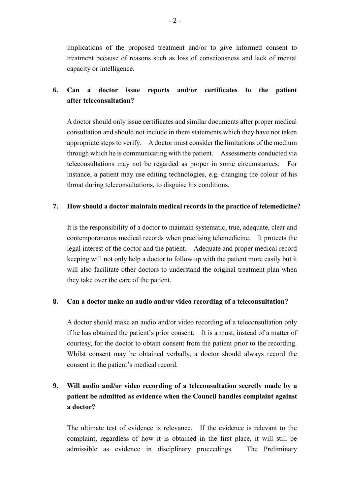implications of the proposed treatment and/or to give informed consent to treatment because of reasons such as loss of consciousness and lack of mental capacity or intelligence.

### **6. Can a doctor issue reports and/or certificates to the patient after teleconsultation?**

A doctor should only issue certificates and similar documents after proper medical consultation and should not include in them statements which they have not taken appropriate steps to verify. A doctor must consider the limitations of the medium through which he is communicating with the patient. Assessments conducted via teleconsultations may not be regarded as proper in some circumstances. For instance, a patient may use editing technologies, e.g. changing the colour of his throat during teleconsultations, to disguise his conditions.

#### **7. How should a doctor maintain medical records in the practice of telemedicine?**

It is the responsibility of a doctor to maintain systematic, true, adequate, clear and contemporaneous medical records when practising telemedicine. It protects the legal interest of the doctor and the patient. Adequate and proper medical record keeping will not only help a doctor to follow up with the patient more easily but it will also facilitate other doctors to understand the original treatment plan when they take over the care of the patient.

#### **8. Can a doctor make an audio and/or video recording of a teleconsultation?**

A doctor should make an audio and/or video recording of a teleconsultation only if he has obtained the patient's prior consent. It is a must, instead of a matter of courtesy, for the doctor to obtain consent from the patient prior to the recording. Whilst consent may be obtained verbally, a doctor should always record the consent in the patient's medical record.

# **9. Will audio and/or video recording of a teleconsultation secretly made by a patient be admitted as evidence when the Council handles complaint against a doctor?**

The ultimate test of evidence is relevance. If the evidence is relevant to the complaint, regardless of how it is obtained in the first place, it will still be admissible as evidence in disciplinary proceedings. The Preliminary